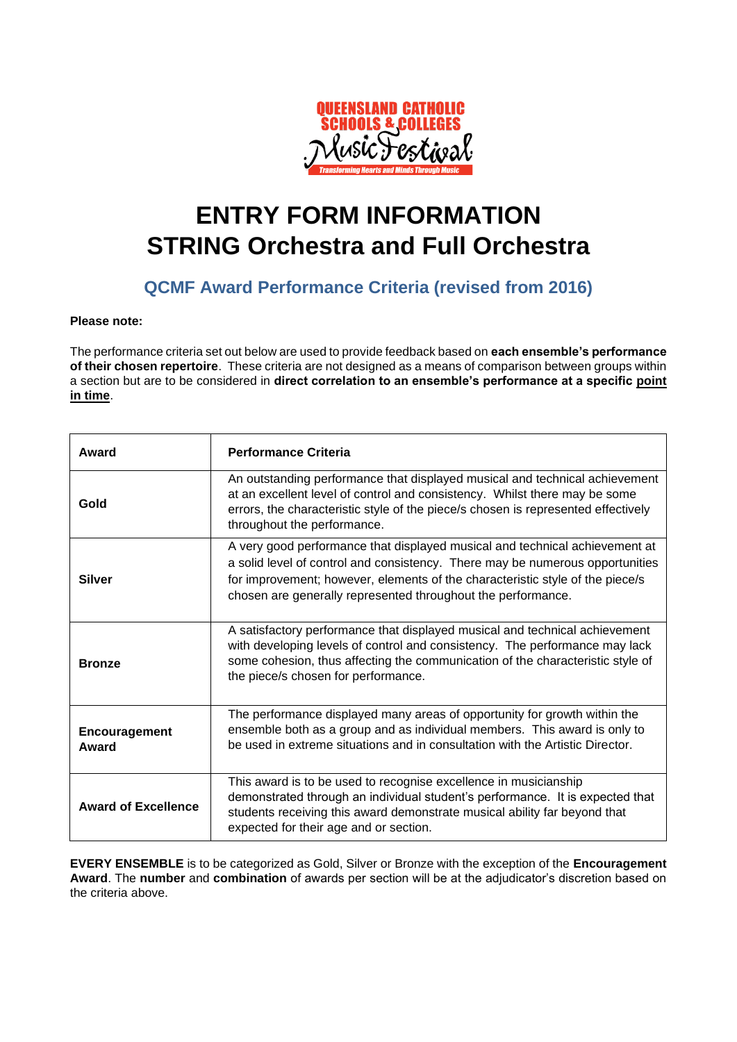

# **ENTRY FORM INFORMATION STRING Orchestra and Full Orchestra**

#### **QCMF Award Performance Criteria (revised from 2016)**

#### **Please note:**

The performance criteria set out below are used to provide feedback based on **each ensemble's performance of their chosen repertoire**. These criteria are not designed as a means of comparison between groups within a section but are to be considered in **direct correlation to an ensemble's performance at a specific point in time**.

| Award                      | <b>Performance Criteria</b>                                                                                                                                                                                                                                                                                   |
|----------------------------|---------------------------------------------------------------------------------------------------------------------------------------------------------------------------------------------------------------------------------------------------------------------------------------------------------------|
| Gold                       | An outstanding performance that displayed musical and technical achievement<br>at an excellent level of control and consistency. Whilst there may be some<br>errors, the characteristic style of the piece/s chosen is represented effectively<br>throughout the performance.                                 |
| <b>Silver</b>              | A very good performance that displayed musical and technical achievement at<br>a solid level of control and consistency. There may be numerous opportunities<br>for improvement; however, elements of the characteristic style of the piece/s<br>chosen are generally represented throughout the performance. |
| <b>Bronze</b>              | A satisfactory performance that displayed musical and technical achievement<br>with developing levels of control and consistency. The performance may lack<br>some cohesion, thus affecting the communication of the characteristic style of<br>the piece/s chosen for performance.                           |
| Encouragement<br>Award     | The performance displayed many areas of opportunity for growth within the<br>ensemble both as a group and as individual members. This award is only to<br>be used in extreme situations and in consultation with the Artistic Director.                                                                       |
| <b>Award of Excellence</b> | This award is to be used to recognise excellence in musicianship<br>demonstrated through an individual student's performance. It is expected that<br>students receiving this award demonstrate musical ability far beyond that<br>expected for their age and or section.                                      |

**EVERY ENSEMBLE** is to be categorized as Gold, Silver or Bronze with the exception of the **Encouragement Award**. The **number** and **combination** of awards per section will be at the adjudicator's discretion based on the criteria above.